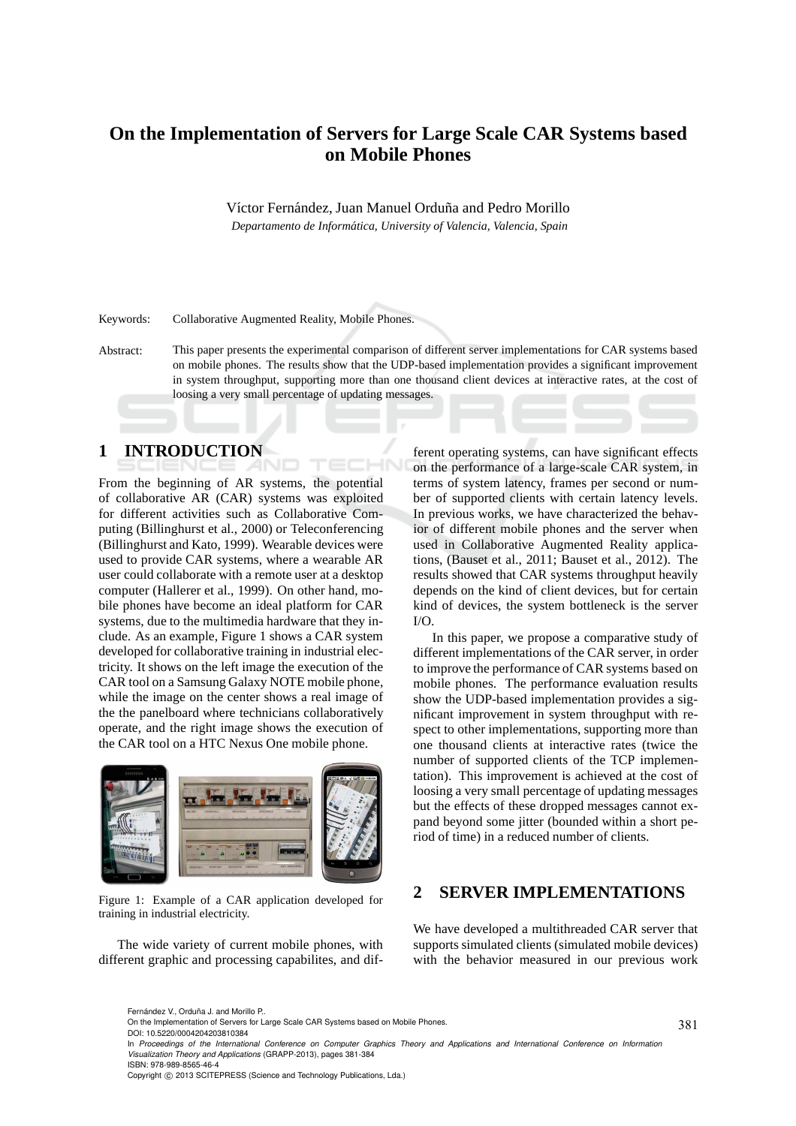# **On the Implementation of Servers for Large Scale CAR Systems based on Mobile Phones**

Víctor Fernández, Juan Manuel Orduña and Pedro Morillo

*Departamento de Inform´atica, University of Valencia, Valencia, Spain*

Keywords: Collaborative Augmented Reality, Mobile Phones.

Abstract: This paper presents the experimental comparison of different server implementations for CAR systems based on mobile phones. The results show that the UDP-based implementation provides a significant improvement in system throughput, supporting more than one thousand client devices at interactive rates, at the cost of loosing a very small percentage of updating messages.

### **1 INTRODUCTION**

From the beginning of AR systems, the potential of collaborative AR (CAR) systems was exploited for different activities such as Collaborative Computing (Billinghurst et al., 2000) or Teleconferencing (Billinghurst and Kato, 1999). Wearable devices were used to provide CAR systems, where a wearable AR user could collaborate with a remote user at a desktop computer (Hallerer et al., 1999). On other hand, mobile phones have become an ideal platform for CAR systems, due to the multimedia hardware that they include. As an example, Figure 1 shows a CAR system developed for collaborative training in industrial electricity. It shows on the left image the execution of the CAR tool on a Samsung Galaxy NOTE mobile phone, while the image on the center shows a real image of the the panelboard where technicians collaboratively operate, and the right image shows the execution of the CAR tool on a HTC Nexus One mobile phone.



Figure 1: Example of a CAR application developed for training in industrial electricity.

The wide variety of current mobile phones, with different graphic and processing capabilites, and dif-

ferent operating systems, can have significant effects on the performance of a large-scale CAR system, in terms of system latency, frames per second or number of supported clients with certain latency levels. In previous works, we have characterized the behavior of different mobile phones and the server when used in Collaborative Augmented Reality applications, (Bauset et al., 2011; Bauset et al., 2012). The results showed that CAR systems throughput heavily depends on the kind of client devices, but for certain kind of devices, the system bottleneck is the server  $I/O$ .

In this paper, we propose a comparative study of different implementations of the CAR server, in order to improve the performance of CAR systems based on mobile phones. The performance evaluation results show the UDP-based implementation provides a significant improvement in system throughput with respect to other implementations, supporting more than one thousand clients at interactive rates (twice the number of supported clients of the TCP implementation). This improvement is achieved at the cost of loosing a very small percentage of updating messages but the effects of these dropped messages cannot expand beyond some jitter (bounded within a short period of time) in a reduced number of clients.

## **2 SERVER IMPLEMENTATIONS**

We have developed a multithreaded CAR server that supports simulated clients (simulated mobile devices) with the behavior measured in our previous work

Copyright © 2013 SCITEPRESS (Science and Technology Publications, Lda.)

Fernández V., Orduña J. and Morillo P..

On the Implementation of Servers for Large Scale CAR Systems based on Mobile Phones.

DOI: 10.5220/0004204203810384

In *Proceedings of the International Conference on Computer Graphics Theory and Applications and International Conference on Information Visualization Theory and Applications* (GRAPP-2013), pages 381-384 ISBN: 978-989-8565-46-4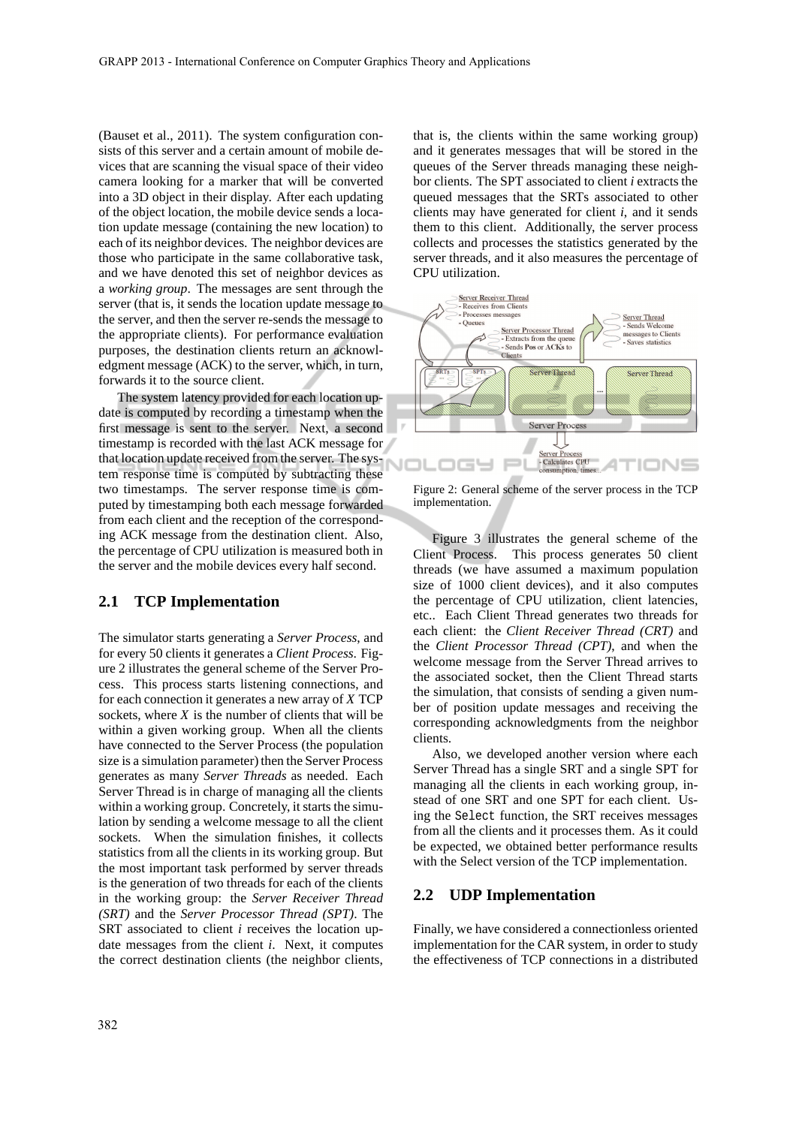(Bauset et al., 2011). The system configuration consists of this server and a certain amount of mobile devices that are scanning the visual space of their video camera looking for a marker that will be converted into a 3D object in their display. After each updating of the object location, the mobile device sends a location update message (containing the new location) to each of its neighbor devices. The neighbor devices are those who participate in the same collaborative task, and we have denoted this set of neighbor devices as a *working group*. The messages are sent through the server (that is, it sends the location update message to the server, and then the server re-sends the message to the appropriate clients). For performance evaluation purposes, the destination clients return an acknowledgment message (ACK) to the server, which, in turn, forwards it to the source client.

The system latency provided for each location update is computed by recording a timestamp when the first message is sent to the server. Next, a second timestamp is recorded with the last ACK message for that location update received from the server. The system response time is computed by subtracting these two timestamps. The server response time is computed by timestamping both each message forwarded from each client and the reception of the corresponding ACK message from the destination client. Also, the percentage of CPU utilization is measured both in the server and the mobile devices every half second.

### **2.1 TCP Implementation**

The simulator starts generating a *Server Process*, and for every 50 clients it generates a *Client Process*. Figure 2 illustrates the general scheme of the Server Process. This process starts listening connections, and for each connection it generates a new array of *X* TCP sockets, where  $X$  is the number of clients that will be within a given working group. When all the clients have connected to the Server Process (the population size is a simulation parameter) then the Server Process generates as many *Server Threads* as needed. Each Server Thread is in charge of managing all the clients within a working group. Concretely, it starts the simulation by sending a welcome message to all the client sockets. When the simulation finishes, it collects statistics from all the clients in its working group. But the most important task performed by server threads is the generation of two threads for each of the clients in the working group: the *Server Receiver Thread (SRT)* and the *Server Processor Thread (SPT)*. The SRT associated to client *i* receives the location update messages from the client *i*. Next, it computes the correct destination clients (the neighbor clients,

that is, the clients within the same working group) and it generates messages that will be stored in the queues of the Server threads managing these neighbor clients. The SPT associated to client *i* extracts the queued messages that the SRTs associated to other clients may have generated for client *i*, and it sends them to this client. Additionally, the server process collects and processes the statistics generated by the server threads, and it also measures the percentage of CPU utilization.



Figure 2: General scheme of the server process in the TCP implementation.

Figure 3 illustrates the general scheme of the Client Process. This process generates 50 client threads (we have assumed a maximum population size of 1000 client devices), and it also computes the percentage of CPU utilization, client latencies, etc.. Each Client Thread generates two threads for each client: the *Client Receiver Thread (CRT)* and the *Client Processor Thread (CPT)*, and when the welcome message from the Server Thread arrives to the associated socket, then the Client Thread starts the simulation, that consists of sending a given number of position update messages and receiving the corresponding acknowledgments from the neighbor clients.

Also, we developed another version where each Server Thread has a single SRT and a single SPT for managing all the clients in each working group, instead of one SRT and one SPT for each client. Using the Select function, the SRT receives messages from all the clients and it processes them. As it could be expected, we obtained better performance results with the Select version of the TCP implementation.

#### **2.2 UDP Implementation**

Finally, we have considered a connectionless oriented implementation for the CAR system, in order to study the effectiveness of TCP connections in a distributed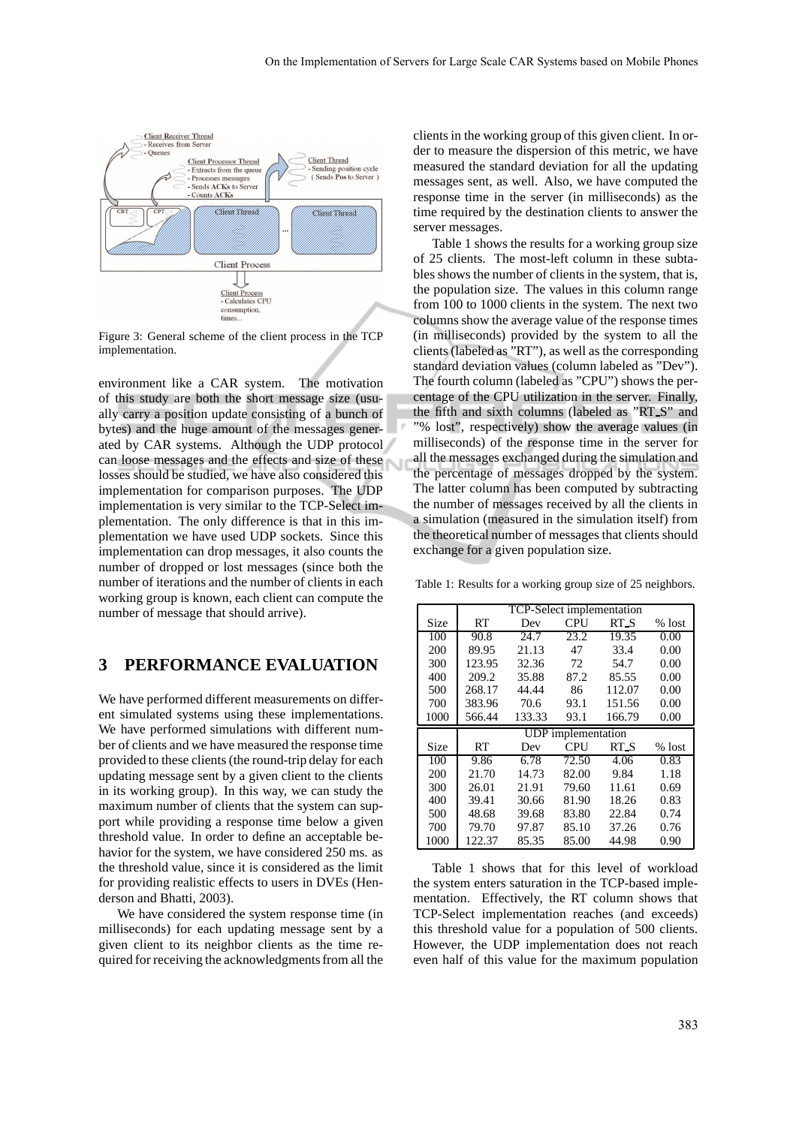

Figure 3: General scheme of the client process in the TCP implementation.

environment like a CAR system. The motivation of this study are both the short message size (usually carry a position update consisting of a bunch of bytes) and the huge amount of the messages generated by CAR systems. Although the UDP protocol can loose messages and the effects and size of these losses should be studied, we have also considered this implementation for comparison purposes. The UDP implementation is very similar to the TCP-Select implementation. The only difference is that in this implementation we have used UDP sockets. Since this implementation can drop messages, it also counts the number of dropped or lost messages (since both the number of iterations and the number of clients in each working group is known, each client can compute the number of message that should arrive).

## **3 PERFORMANCE EVALUATION**

We have performed different measurements on different simulated systems using these implementations. We have performed simulations with different number of clients and we have measured the response time provided to these clients (the round-trip delay for each updating message sent by a given client to the clients in its working group). In this way, we can study the maximum number of clients that the system can support while providing a response time below a given threshold value. In order to define an acceptable behavior for the system, we have considered 250 ms. as the threshold value, since it is considered as the limit for providing realistic effects to users in DVEs (Henderson and Bhatti, 2003).

We have considered the system response time (in milliseconds) for each updating message sent by a given client to its neighbor clients as the time required for receiving the acknowledgments from all the clients in the working group of this given client. In order to measure the dispersion of this metric, we have measured the standard deviation for all the updating messages sent, as well. Also, we have computed the response time in the server (in milliseconds) as the time required by the destination clients to answer the server messages.

Table 1 shows the results for a working group size of 25 clients. The most-left column in these subtables shows the number of clients in the system, that is, the population size. The values in this column range from 100 to 1000 clients in the system. The next two columns show the average value of the response times (in milliseconds) provided by the system to all the clients (labeled as "RT"), as well as the corresponding standard deviation values (column labeled as "Dev"). The fourth column (labeled as "CPU") shows the percentage of the CPU utilization in the server. Finally, the fifth and sixth columns (labeled as "RT S" and "% lost", respectively) show the average values (in milliseconds) of the response time in the server for all the messages exchanged during the simulation and the percentage of messages dropped by the system. The latter column has been computed by subtracting the number of messages received by all the clients in a simulation (measured in the simulation itself) from the theoretical number of messages that clients should exchange for a given population size.

Table 1: Results for a working group size of 25 neighbors.

|      | TCP-Select implementation |        |                    |        |        |
|------|---------------------------|--------|--------------------|--------|--------|
| Size | RT                        | Dev    | CPU                | RT_S   | % lost |
| 100  | 90.8                      | 24.7   | 23.2               | 19.35  | 0.00   |
| 200  | 89.95                     | 21.13  | 47                 | 33.4   | 0.00   |
| 300  | 123.95                    | 32.36  | 72                 | 54.7   | 0.00   |
| 400  | 209.2                     | 35.88  | 87.2               | 85.55  | 0.00   |
| 500  | 268.17                    | 44.44  | 86                 | 112.07 | 0.00   |
| 700  | 383.96                    | 70.6   | 93.1               | 151.56 | 0.00   |
| 1000 | 566.44                    | 133.33 | 93.1               | 166.79 | 0.00   |
|      |                           |        |                    |        |        |
|      |                           |        | UDP implementation |        |        |
| Size | RT                        | Dev    | CPU                | RT_S   | % lost |
| 100  | 9.86                      | 6.78   | 72.50              | 4.06   | 0.83   |
| 200  | 21.70                     | 14.73  | 82.00              | 9.84   | 1.18   |
| 300  | 26.01                     | 21.91  | 79.60              | 11.61  | 0.69   |
| 400  | 39.41                     | 30.66  | 81.90              | 18.26  | 0.83   |
| 500  | 48.68                     | 39.68  | 83.80              | 22.84  | 0.74   |
| 700  | 79.70                     | 97.87  | 85.10              | 37.26  | 0.76   |

Table 1 shows that for this level of workload the system enters saturation in the TCP-based implementation. Effectively, the RT column shows that TCP-Select implementation reaches (and exceeds) this threshold value for a population of 500 clients. However, the UDP implementation does not reach even half of this value for the maximum population